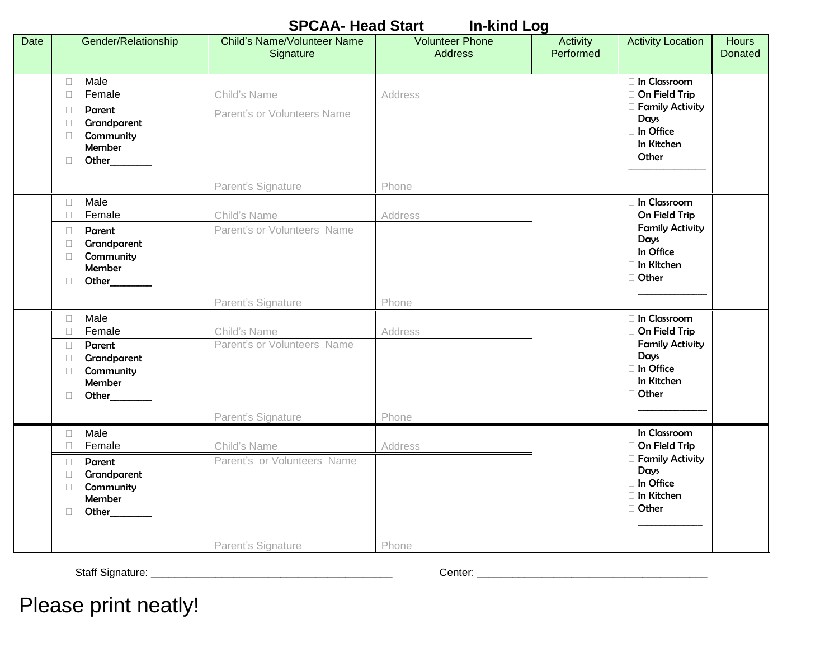|      | <b>SPCAA- Head Start</b><br><b>In-kind Log</b>                                                                                      |                                                                   |                                          |                       |                                                                                                           |                                |  |
|------|-------------------------------------------------------------------------------------------------------------------------------------|-------------------------------------------------------------------|------------------------------------------|-----------------------|-----------------------------------------------------------------------------------------------------------|--------------------------------|--|
| Date | Gender/Relationship                                                                                                                 | <b>Child's Name/Volunteer Name</b><br>Signature                   | <b>Volunteer Phone</b><br><b>Address</b> | Activity<br>Performed | <b>Activity Location</b>                                                                                  | <b>Hours</b><br><b>Donated</b> |  |
|      | Male<br>$\Box$<br>Female<br>$\Box$<br>Parent<br>$\Box$<br>Grandparent<br>$\Box$<br>Community<br>П<br>Member<br>Other<br>$\Box$      | Child's Name<br>Parent's or Volunteers Name<br>Parent's Signature | Address<br>Phone                         |                       | □ In Classroom<br>On Field Trip<br>□ Family Activity<br>Days<br>□ In Office<br>□ In Kitchen<br>□ Other    |                                |  |
|      | Male<br>$\Box$<br>Female<br>$\Box$<br>Parent<br>$\Box$<br>Grandparent<br>$\Box$<br>Community<br>$\Box$<br>Member<br>Other<br>$\Box$ | Child's Name<br>Parent's or Volunteers Name<br>Parent's Signature | Address<br>Phone                         |                       | In Classroom<br>On Field Trip<br>□ Family Activity<br>Days<br>□ In Office<br>□ In Kitchen<br>□ Other      |                                |  |
|      | Male<br>$\Box$<br>Female<br>$\Box$<br>Parent<br>$\Box$<br>Grandparent<br>$\Box$<br>Community<br>$\Box$<br>Member<br>Other<br>$\Box$ | Child's Name<br>Parent's or Volunteers Name<br>Parent's Signature | Address<br>Phone                         |                       | In Classroom<br>On Field Trip<br><b>Family Activity</b><br>Days<br>□ In Office<br>□ In Kitchen<br>□ Other |                                |  |
|      | Male<br>$\Box$<br>Female<br>$\Box$<br>Parent<br>$\Box$<br>Grandparent<br>$\Box$<br>Community<br>$\Box$<br>Member<br>Other<br>$\Box$ | Child's Name<br>Parent's or Volunteers Name<br>Parent's Signature | Address<br>Phone                         |                       | In Classroom<br>On Field Trip<br>□ Family Activity<br>Days<br>□ In Office<br>□ In Kitchen<br>□ Other      |                                |  |

Staff Signature: \_\_\_\_\_\_\_\_\_\_\_\_\_\_\_\_\_\_\_\_\_\_\_\_\_\_\_\_\_\_\_\_\_\_\_\_\_\_\_\_\_ Center: \_\_\_\_\_\_\_\_\_\_\_\_\_\_\_\_\_\_\_\_\_\_\_\_\_\_\_\_\_\_\_\_\_\_\_\_\_\_\_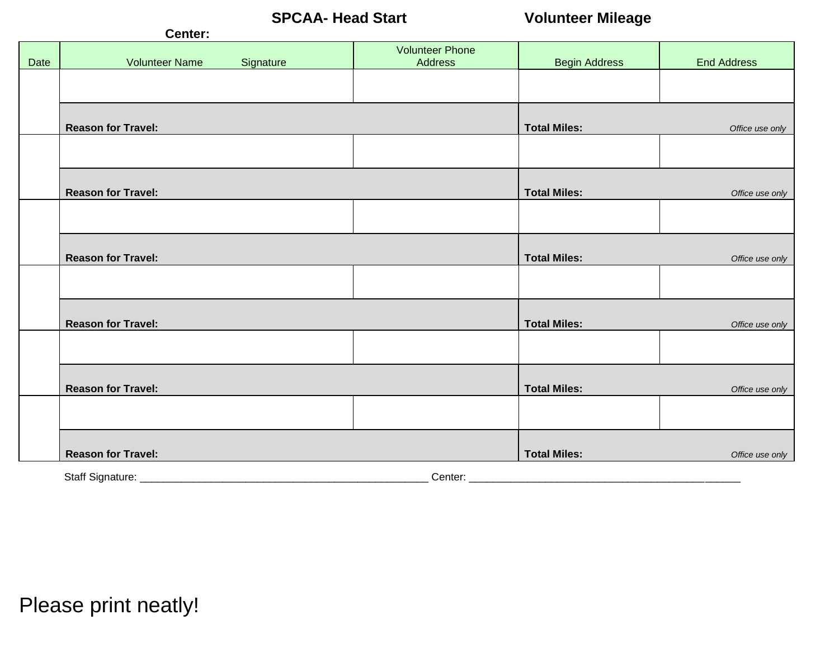**SPCAA- Head Start Volunteer Mileage**

|      | Center:                            |                                   |                      |                    |
|------|------------------------------------|-----------------------------------|----------------------|--------------------|
| Date | <b>Volunteer Name</b><br>Signature | <b>Volunteer Phone</b><br>Address | <b>Begin Address</b> | <b>End Address</b> |
|      |                                    |                                   |                      |                    |
|      |                                    |                                   |                      |                    |
|      | <b>Reason for Travel:</b>          |                                   | <b>Total Miles:</b>  | Office use only    |
|      |                                    |                                   |                      |                    |
|      | <b>Reason for Travel:</b>          |                                   | <b>Total Miles:</b>  | Office use only    |
|      |                                    |                                   |                      |                    |
|      |                                    |                                   |                      |                    |
|      | <b>Reason for Travel:</b>          |                                   | <b>Total Miles:</b>  | Office use only    |
|      |                                    |                                   |                      |                    |
|      | <b>Reason for Travel:</b>          |                                   | <b>Total Miles:</b>  | Office use only    |
|      |                                    |                                   |                      |                    |
|      | <b>Reason for Travel:</b>          |                                   | <b>Total Miles:</b>  | Office use only    |
|      |                                    |                                   |                      |                    |
|      |                                    |                                   |                      |                    |
|      | <b>Reason for Travel:</b>          |                                   | <b>Total Miles:</b>  | Office use only    |
|      | Staff Signature: _                 | Center: ___                       |                      |                    |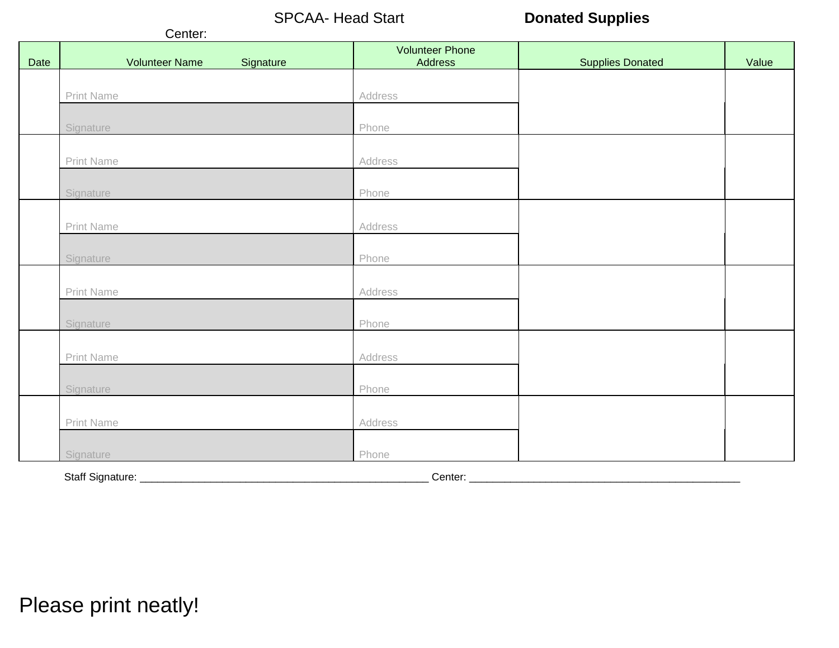SPCAA- Head Start **Donated Supplies** 

|      | Center:                            |                                   |                         |       |
|------|------------------------------------|-----------------------------------|-------------------------|-------|
| Date | <b>Volunteer Name</b><br>Signature | <b>Volunteer Phone</b><br>Address | <b>Supplies Donated</b> | Value |
|      |                                    |                                   |                         |       |
|      | Print Name                         | Address                           |                         |       |
|      | Signature                          | Phone                             |                         |       |
|      |                                    |                                   |                         |       |
|      | Print Name                         | Address                           |                         |       |
|      |                                    |                                   |                         |       |
|      | Signature                          | Phone                             |                         |       |
|      |                                    |                                   |                         |       |
|      | Print Name                         | Address                           |                         |       |
|      | Signature                          | Phone                             |                         |       |
|      |                                    |                                   |                         |       |
|      | Print Name                         | Address                           |                         |       |
|      | Signature<br>Phone                 |                                   |                         |       |
|      |                                    |                                   |                         |       |
|      | Print Name                         | Address                           |                         |       |
|      | Signature                          | Phone                             |                         |       |
|      |                                    |                                   |                         |       |
|      | Print Name                         | Address                           |                         |       |
|      |                                    |                                   |                         |       |
|      | Signature                          | Phone                             |                         |       |
|      | Staff Signature: _____________     | Center: _                         |                         |       |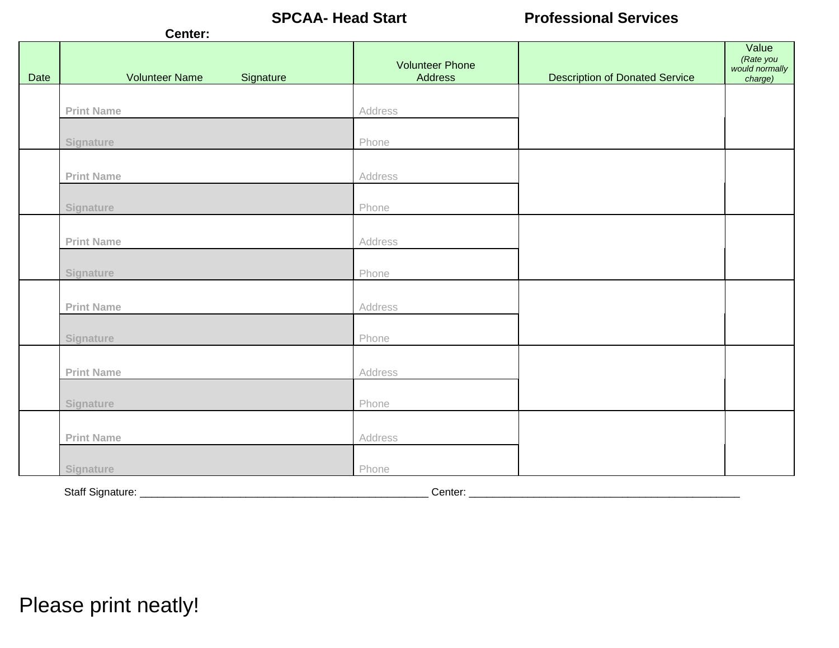**SPCAA- Head Start Professional Services**

|      | Center:                            |                                   |                                       |                                                 |  |
|------|------------------------------------|-----------------------------------|---------------------------------------|-------------------------------------------------|--|
| Date | <b>Volunteer Name</b><br>Signature | <b>Volunteer Phone</b><br>Address | <b>Description of Donated Service</b> | Value<br>(Rate you<br>would normally<br>charge) |  |
|      |                                    |                                   |                                       |                                                 |  |
|      | <b>Print Name</b>                  | Address                           |                                       |                                                 |  |
|      | Signature                          | Phone                             |                                       |                                                 |  |
|      | <b>Print Name</b>                  | Address                           |                                       |                                                 |  |
|      | Signature                          | Phone                             |                                       |                                                 |  |
|      | <b>Print Name</b>                  | Address                           |                                       |                                                 |  |
|      | Signature                          | Phone                             |                                       |                                                 |  |
|      | <b>Print Name</b>                  | Address                           |                                       |                                                 |  |
|      | Signature                          | Phone                             |                                       |                                                 |  |
|      | <b>Print Name</b>                  | Address                           |                                       |                                                 |  |
|      | Signature                          | Phone                             |                                       |                                                 |  |
|      | <b>Print Name</b>                  | Address                           |                                       |                                                 |  |
|      | Signature                          | Phone                             |                                       |                                                 |  |
|      | Staff Signature: ______<br>Center: |                                   |                                       |                                                 |  |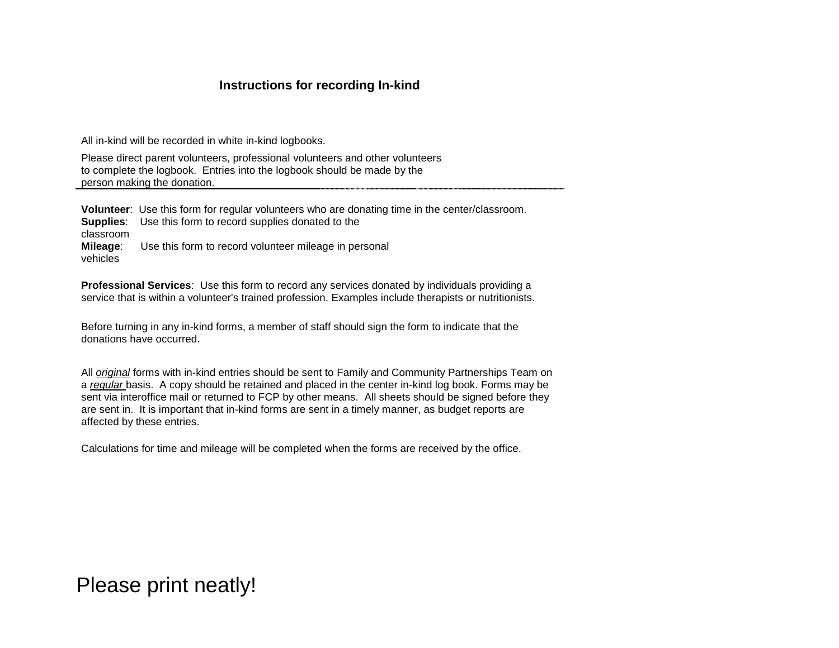### **Instructions for recording In-kind**

All in-kind will be recorded in white in-kind logbooks.

Please direct parent volunteers, professional volunteers and other volunteers to complete the logbook. Entries into the logbook should be made by the person making the donation.

**Volunteer**: Use this form for regular volunteers who are donating time in the center/classroom. **Supplies**: Use this form to record supplies donated to the classroom **Mileage**: Use this form to record volunteer mileage in personal vehicles

**Professional Services**: Use this form to record any services donated by individuals providing a service that is within a volunteer's trained profession. Examples include therapists or nutritionists.

Before turning in any in-kind forms, a member of staff should sign the form to indicate that the donations have occurred.

All *original* forms with in-kind entries should be sent to Family and Community Partnerships Team on a *regular* basis. A copy should be retained and placed in the center in-kind log book. Forms may be sent via interoffice mail or returned to FCP by other means. All sheets should be signed before they are sent in. It is important that in-kind forms are sent in a timely manner, as budget reports are affected by these entries.

Calculations for time and mileage will be completed when the forms are received by the office.